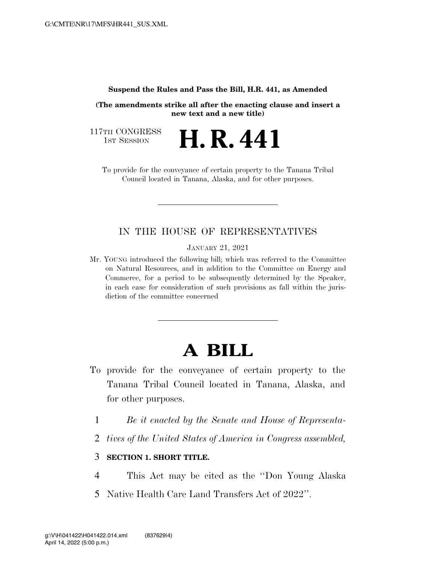#### **Suspend the Rules and Pass the Bill, H.R. 441, as Amended**

**(The amendments strike all after the enacting clause and insert a new text and a new title)** 

117TH CONGRESS<br>1st Session

**H. R. 441** 

To provide for the conveyance of certain property to the Tanana Tribal Council located in Tanana, Alaska, and for other purposes.

# IN THE HOUSE OF REPRESENTATIVES

JANUARY 21, 2021

Mr. YOUNG introduced the following bill; which was referred to the Committee on Natural Resources, and in addition to the Committee on Energy and Commerce, for a period to be subsequently determined by the Speaker, in each case for consideration of such provisions as fall within the jurisdiction of the committee concerned

# **A BILL**

- To provide for the conveyance of certain property to the Tanana Tribal Council located in Tanana, Alaska, and for other purposes.
	- 1 *Be it enacted by the Senate and House of Representa-*
	- 2 *tives of the United States of America in Congress assembled,*

#### 3 **SECTION 1. SHORT TITLE.**

- 4 This Act may be cited as the ''Don Young Alaska
- 5 Native Health Care Land Transfers Act of 2022''.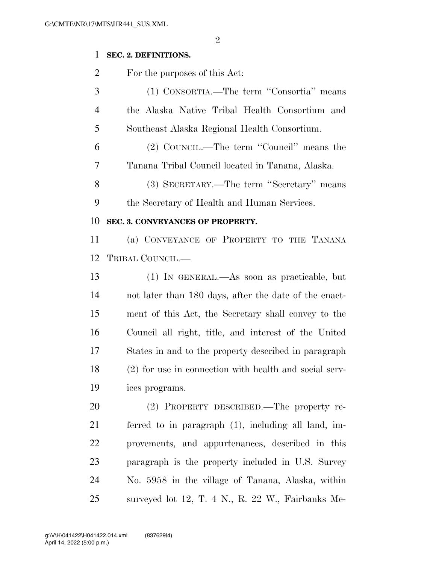## **SEC. 2. DEFINITIONS.**

For the purposes of this Act:

 (1) CONSORTIA.—The term ''Consortia'' means the Alaska Native Tribal Health Consortium and Southeast Alaska Regional Health Consortium.

 (2) COUNCIL.—The term ''Council'' means the Tanana Tribal Council located in Tanana, Alaska.

 (3) SECRETARY.—The term ''Secretary'' means the Secretary of Health and Human Services.

### **SEC. 3. CONVEYANCES OF PROPERTY.**

 (a) CONVEYANCE OF PROPERTY TO THE TANANA TRIBAL COUNCIL.—

 (1) IN GENERAL.—As soon as practicable, but not later than 180 days, after the date of the enact- ment of this Act, the Secretary shall convey to the Council all right, title, and interest of the United States in and to the property described in paragraph (2) for use in connection with health and social serv-ices programs.

 (2) PROPERTY DESCRIBED.—The property re- ferred to in paragraph (1), including all land, im- provements, and appurtenances, described in this paragraph is the property included in U.S. Survey No. 5958 in the village of Tanana, Alaska, within surveyed lot 12, T. 4 N., R. 22 W., Fairbanks Me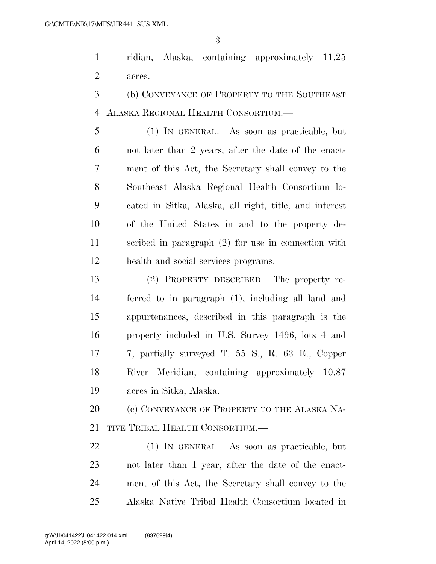ridian, Alaska, containing approximately 11.25 acres.

 (b) CONVEYANCE OF PROPERTY TO THE SOUTHEAST ALASKA REGIONAL HEALTH CONSORTIUM.—

 (1) IN GENERAL.—As soon as practicable, but not later than 2 years, after the date of the enact- ment of this Act, the Secretary shall convey to the Southeast Alaska Regional Health Consortium lo- cated in Sitka, Alaska, all right, title, and interest of the United States in and to the property de- scribed in paragraph (2) for use in connection with health and social services programs.

 (2) PROPERTY DESCRIBED.—The property re- ferred to in paragraph (1), including all land and appurtenances, described in this paragraph is the property included in U.S. Survey 1496, lots 4 and 7, partially surveyed T. 55 S., R. 63 E., Copper River Meridian, containing approximately 10.87 acres in Sitka, Alaska.

20 (c) CONVEYANCE OF PROPERTY TO THE ALASKA NA-TIVE TRIBAL HEALTH CONSORTIUM.—

 (1) IN GENERAL.—As soon as practicable, but not later than 1 year, after the date of the enact- ment of this Act, the Secretary shall convey to the Alaska Native Tribal Health Consortium located in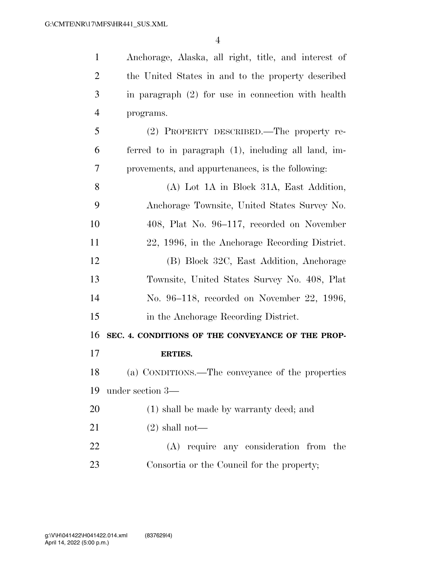| $\mathbf{1}$   | Anchorage, Alaska, all right, title, and interest of |
|----------------|------------------------------------------------------|
| $\overline{2}$ | the United States in and to the property described   |
| 3              | in paragraph $(2)$ for use in connection with health |
| $\overline{4}$ | programs.                                            |
| 5              | (2) PROPERTY DESCRIBED.—The property re-             |
| 6              | ferred to in paragraph (1), including all land, im-  |
| 7              | provements, and appurtenances, is the following:     |
| 8              | (A) Lot 1A in Block 31A, East Addition,              |
| 9              | Anchorage Townsite, United States Survey No.         |
| 10             | 408, Plat No. 96–117, recorded on November           |
| 11             | 22, 1996, in the Anchorage Recording District.       |
| 12             | (B) Block 32C, East Addition, Anchorage              |
| 13             | Townsite, United States Survey No. 408, Plat         |
| 14             | No. 96–118, recorded on November 22, 1996,           |
| 15             | in the Anchorage Recording District.                 |
| 16             | SEC. 4. CONDITIONS OF THE CONVEYANCE OF THE PROP-    |
| 17             | <b>ERTIES.</b>                                       |
| 18             | (a) CONDITIONS.—The conveyance of the properties     |
| 19             | under section 3—                                     |
| 20             | (1) shall be made by warranty deed; and              |
| 21             | $(2)$ shall not—                                     |
| 22             | (A) require any consideration from the               |
| 23             | Consortia or the Council for the property;           |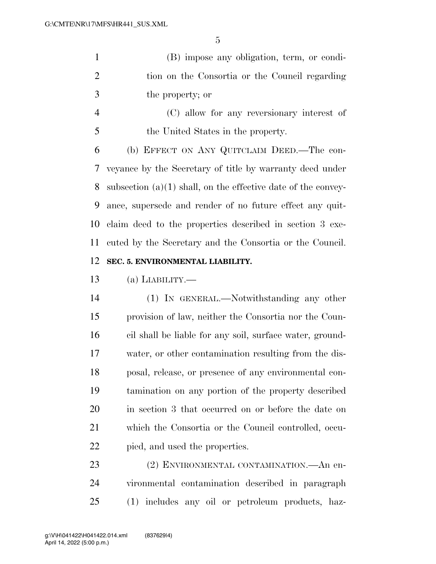(B) impose any obligation, term, or condi- tion on the Consortia or the Council regarding the property; or

 (C) allow for any reversionary interest of the United States in the property.

 (b) EFFECT ON ANY QUITCLAIM DEED.—The con- veyance by the Secretary of title by warranty deed under subsection (a)(1) shall, on the effective date of the convey- ance, supersede and render of no future effect any quit- claim deed to the properties described in section 3 exe- cuted by the Secretary and the Consortia or the Council. **SEC. 5. ENVIRONMENTAL LIABILITY.** 

(a) LIABILITY.—

 (1) IN GENERAL.—Notwithstanding any other provision of law, neither the Consortia nor the Coun- cil shall be liable for any soil, surface water, ground- water, or other contamination resulting from the dis- posal, release, or presence of any environmental con- tamination on any portion of the property described in section 3 that occurred on or before the date on which the Consortia or the Council controlled, occu-pied, and used the properties.

 (2) ENVIRONMENTAL CONTAMINATION.—An en- vironmental contamination described in paragraph (1) includes any oil or petroleum products, haz-